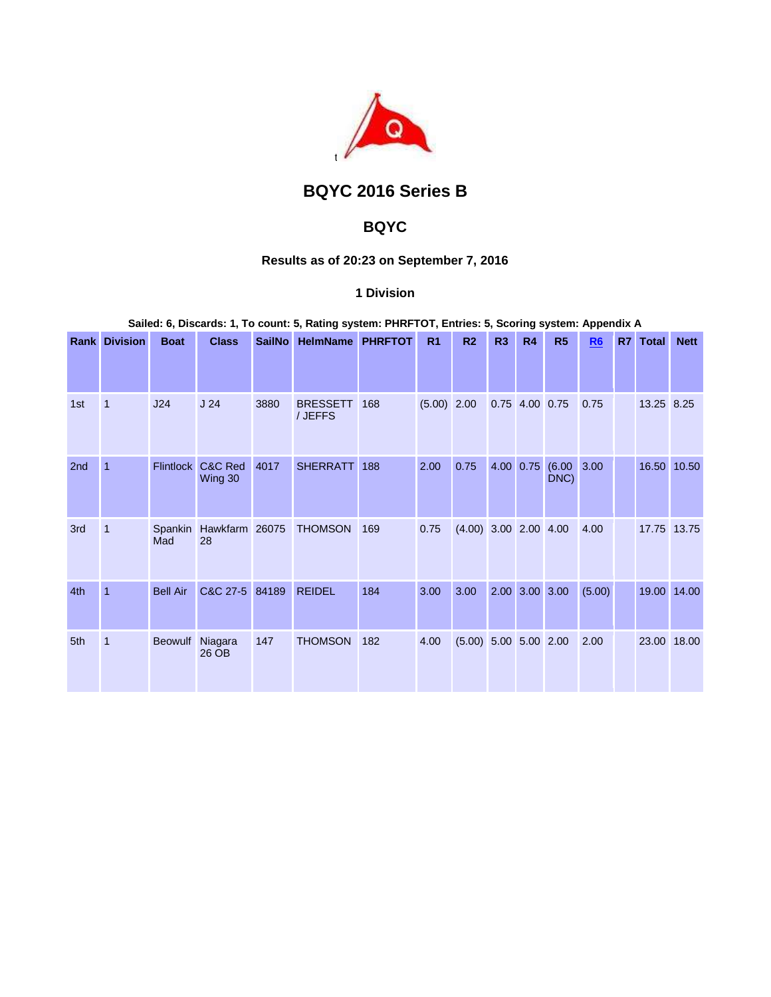

# **BQYC 2016 Series B**

## **BQYC**

## **Results as of 20:23 on September 7, 2016**

## **1 Division**

### **Sailed: 6, Discards: 1, To count: 5, Rating system: PHRFTOT, Entries: 5, Scoring system: Appendix A**

|     | <b>Rank Division</b> | <b>Boat</b>      | <b>Class</b>         | <b>SailNo</b> | <b>HelmName</b>            | <b>PHRFTOT</b> | R <sub>1</sub> | R <sub>2</sub>          | R3 | R4             | R <sub>5</sub> | R <sub>6</sub> | R7 | <b>Total</b> | <b>Nett</b> |
|-----|----------------------|------------------|----------------------|---------------|----------------------------|----------------|----------------|-------------------------|----|----------------|----------------|----------------|----|--------------|-------------|
|     |                      |                  |                      |               |                            |                |                |                         |    |                |                |                |    |              |             |
| 1st | $\overline{1}$       | J24              | J <sub>24</sub>      | 3880          | <b>BRESSETT</b><br>/ JEFFS | 168            | $(5.00)$ 2.00  |                         |    | 0.75 4.00 0.75 |                | 0.75           |    | 13.25 8.25   |             |
| 2nd | $\overline{1}$       | <b>Flintlock</b> | C&C Red<br>Wing 30   | 4017          | <b>SHERRATT</b>            | 188            | 2.00           | 0.75                    |    | 4.00 0.75      | (6.00)<br>DNC) | 3.00           |    |              | 16.50 10.50 |
| 3rd | $\mathbf{1}$         | Spankin<br>Mad   | Hawkfarm 26075<br>28 |               | <b>THOMSON</b>             | 169            | 0.75           | $(4.00)$ 3.00 2.00 4.00 |    |                |                | 4.00           |    |              | 17.75 13.75 |
| 4th | $\mathbf{1}$         | <b>Bell Air</b>  | C&C 27-5             | 84189         | <b>REIDEL</b>              | 184            | 3.00           | 3.00                    |    | 2.00 3.00 3.00 |                | (5.00)         |    |              | 19.00 14.00 |
| 5th | $\mathbf{1}$         | Beowulf          | Niagara<br>26 OB     | 147           | <b>THOMSON</b>             | 182            | 4.00           | $(5.00)$ 5.00 5.00 2.00 |    |                |                | 2.00           |    | 23.00        | 18.00       |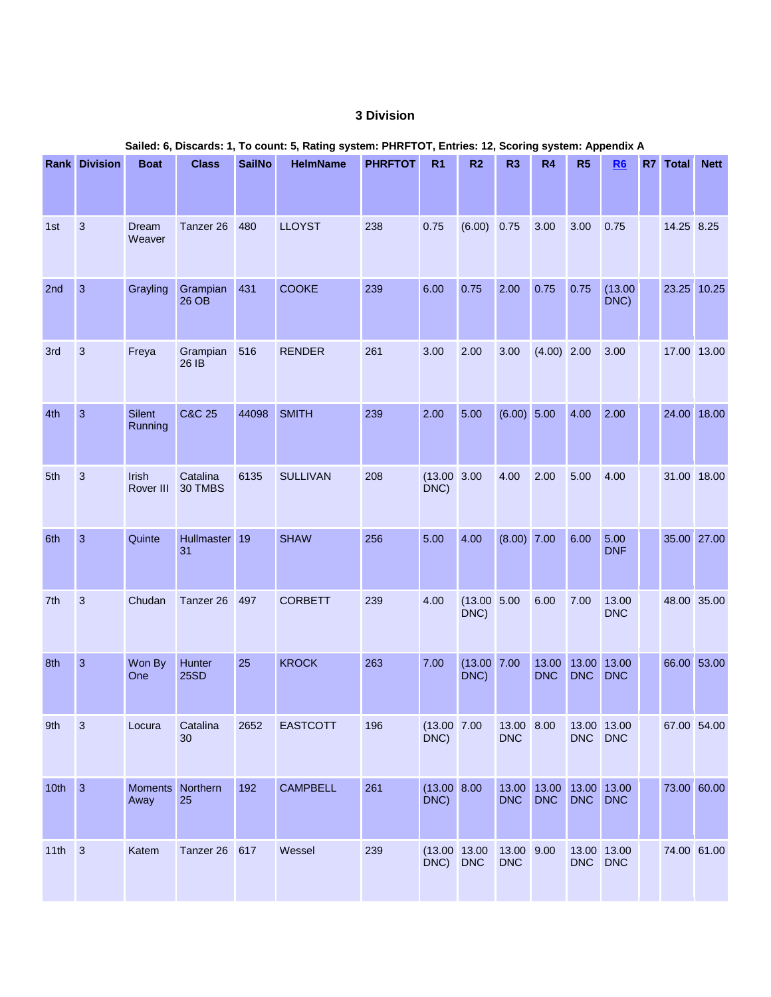## **3 Division**

|          | <b>Rank Division</b> | <b>Boat</b>              | <b>Class</b>        | <b>SailNo</b> | <b>HelmName</b> | <b>PHRFTOT</b> | R <sub>1</sub>            | R <sub>2</sub>          | R <sub>3</sub>           | R4                                    | R5                  | R6                  | R7 | <b>Total</b> | <b>Nett</b> |
|----------|----------------------|--------------------------|---------------------|---------------|-----------------|----------------|---------------------------|-------------------------|--------------------------|---------------------------------------|---------------------|---------------------|----|--------------|-------------|
| 1st      | $\mathbf{3}$         | Dream<br>Weaver          | Tanzer 26           | 480           | <b>LLOYST</b>   | 238            | 0.75                      | (6.00)                  | 0.75                     | 3.00                                  | 3.00                | 0.75                |    | 14.25 8.25   |             |
| 2nd      | $\overline{3}$       | Grayling                 | Grampian<br>26 OB   | 431           | <b>COOKE</b>    | 239            | 6.00                      | 0.75                    | 2.00                     | 0.75                                  | 0.75                | (13.00)<br>DNC)     |    | 23.25 10.25  |             |
| 3rd      | $\mathbf{3}$         | Freya                    | Grampian<br>26 IB   | 516           | <b>RENDER</b>   | 261            | 3.00                      | 2.00                    | 3.00                     | $(4.00)$ 2.00                         |                     | 3.00                |    | 17.00 13.00  |             |
| 4th      | $\overline{3}$       | Silent<br>Running        | <b>C&amp;C 25</b>   | 44098         | <b>SMITH</b>    | 239            | 2.00                      | 5.00                    | (6.00) 5.00              |                                       | 4.00                | 2.00                |    | 24.00 18.00  |             |
| 5th      | 3                    | Irish<br>Rover III       | Catalina<br>30 TMBS | 6135          | <b>SULLIVAN</b> | 208            | $(13.00 \ 3.00$<br>DNC)   |                         | 4.00                     | 2.00                                  | 5.00                | 4.00                |    | 31.00 18.00  |             |
| 6th      | 3                    | Quinte                   | Hullmaster 19<br>31 |               | <b>SHAW</b>     | 256            | 5.00                      | 4.00                    | (8.00) 7.00              |                                       | 6.00                | 5.00<br><b>DNF</b>  |    | 35.00 27.00  |             |
| 7th      | 3                    | Chudan                   | Tanzer 26           | 497           | <b>CORBETT</b>  | 239            | 4.00                      | (13.00 5.00)<br>DNC)    |                          | 6.00                                  | 7.00                | 13.00<br><b>DNC</b> |    | 48.00 35.00  |             |
| 8th      | $\overline{3}$       | Won By<br>One            | Hunter<br>25SD      | 25            | <b>KROCK</b>    | 263            | 7.00                      | $(13.00 \ 7.00$<br>DNC) |                          | 13.00<br><b>DNC</b>                   | 13.00<br><b>DNC</b> | 13.00<br><b>DNC</b> |    | 66.00 53.00  |             |
| 9th      | $\mathbf{3}$         | Locura                   | Catalina<br>30      | 2652          | <b>EASTCOTT</b> | 196            | (13.00 7.00<br>DNC)       |                         | 13.00 8.00<br><b>DNC</b> |                                       | DNC DNC             | 13.00 13.00         |    | 67.00 54.00  |             |
| $10th$ 3 |                      | Moments Northern<br>Away | 25                  | 192           | <b>CAMPBELL</b> | 261            | $(13.00 \ 8.00$<br>DNC)   |                         | <b>DNC</b>               | 13.00 13.00 13.00 13.00<br><b>DNC</b> | DNC                 | <b>DNC</b>          |    | 73.00 60.00  |             |
| $11th$ 3 |                      | Katem                    | Tanzer 26 617       |               | Wessel          | 239            | (13.00 13.00)<br>DNC) DNC |                         | 13.00 9.00<br><b>DNC</b> |                                       | DNC DNC             | 13.00 13.00         |    | 74.00 61.00  |             |

#### **Sailed: 6, Discards: 1, To count: 5, Rating system: PHRFTOT, Entries: 12, Scoring system: Appendix A**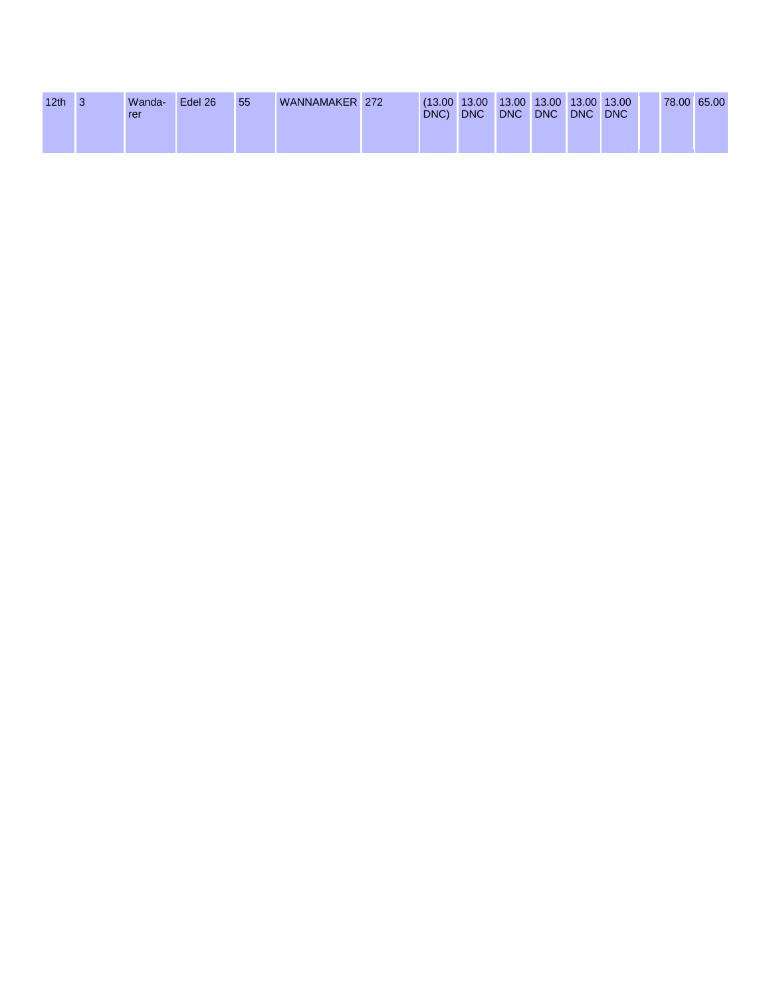| 12 <sub>th</sub> | Wanda-<br>rer | Edel 26 | 55 | WANNAMAKER 272 | $(13.00 \t13.00 \t13.00 \t13.00 \t13.00 \t13.00)$<br>DNC) | <b>DNC</b> | <b>DNC</b> | <b>DNC</b> | <b>DNC</b> | <b>DNC</b> | 78.00 65.00 |  |
|------------------|---------------|---------|----|----------------|-----------------------------------------------------------|------------|------------|------------|------------|------------|-------------|--|
|                  |               |         |    |                |                                                           |            |            |            |            |            |             |  |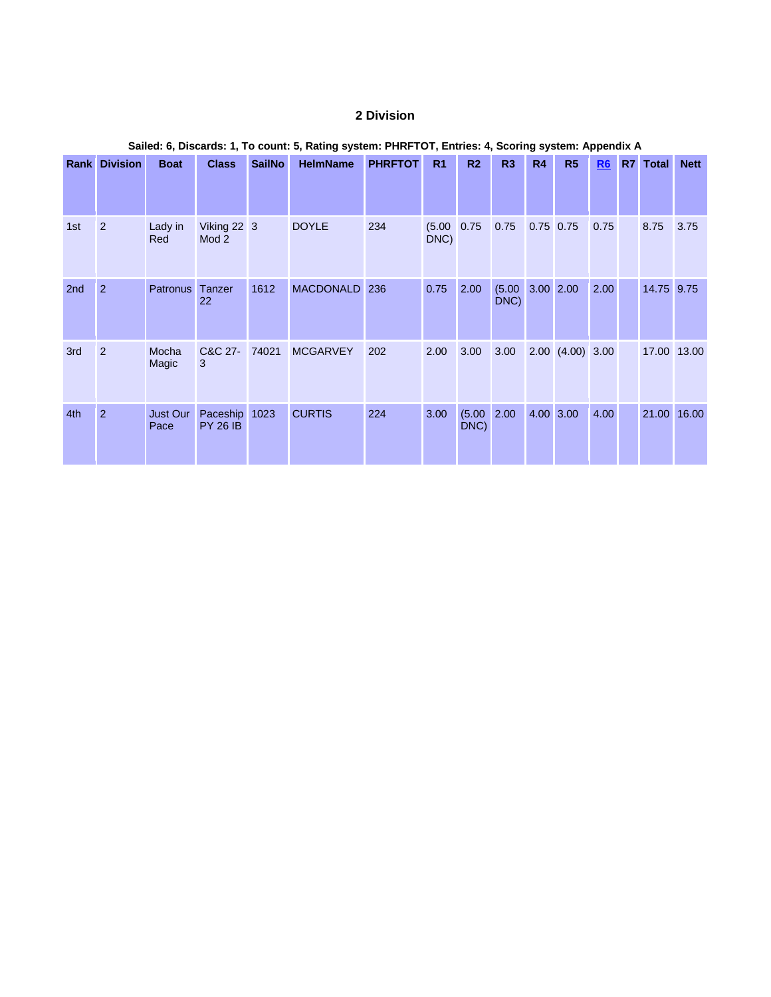## **2 Division**

|     | <b>Rank Division</b> | <b>Boat</b>             | <b>Class</b>                     | <b>SailNo</b> | <b>HelmName</b>  | <b>PHRFTOT</b> | R <sub>1</sub>          | R <sub>2</sub> | R3             | <b>R4</b>   | R <sub>5</sub>       | R <sub>6</sub> | R7 | Total      | <b>Nett</b> |
|-----|----------------------|-------------------------|----------------------------------|---------------|------------------|----------------|-------------------------|----------------|----------------|-------------|----------------------|----------------|----|------------|-------------|
|     |                      |                         |                                  |               |                  |                |                         |                |                |             |                      |                |    |            |             |
| 1st | 2                    | Lady in<br>Red          | Viking 22 3<br>Mod 2             |               | <b>DOYLE</b>     | 234            | $(5.00 \ 0.75)$<br>DNC) |                | 0.75           | $0.75$ 0.75 |                      | 0.75           |    | 8.75       | 3.75        |
| 2nd | $\overline{2}$       | <b>Patronus</b>         | Tanzer<br>22                     | 1612          | <b>MACDONALD</b> | 236            | 0.75                    | 2.00           | (5.00)<br>DNC) | 3.00 2.00   |                      | 2.00           |    | 14.75 9.75 |             |
| 3rd | 2                    | Mocha<br>Magic          | C&C 27-<br>3                     | 74021         | <b>MCGARVEY</b>  | 202            | 2.00                    | 3.00           | 3.00           |             | $2.00$ $(4.00)$ 3.00 |                |    |            | 17.00 13.00 |
| 4th | $\overline{2}$       | <b>Just Our</b><br>Pace | Paceship 1023<br><b>PY 26 IB</b> |               | <b>CURTIS</b>    | 224            | 3.00                    | (5.00)<br>DNC) | 2.00           | 4.00 3.00   |                      | 4.00           |    |            | 21.00 16.00 |

## **Sailed: 6, Discards: 1, To count: 5, Rating system: PHRFTOT, Entries: 4, Scoring system: Appendix A**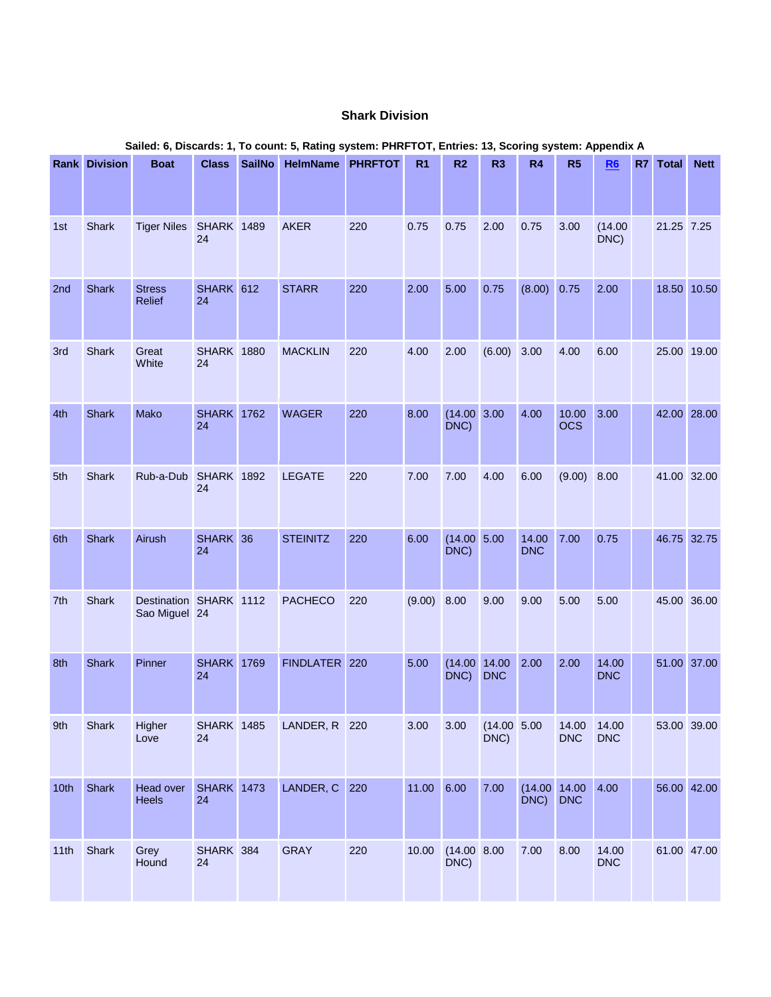## **Shark Division**

|      | <b>Rank Division</b> | <b>Boat</b>                             | <b>Class</b>            | <b>SailNo</b> | <b>HelmName PHRFTOT</b> |     | R <sub>1</sub> | R <sub>2</sub>          | R <sub>3</sub>             | R4                           | R5                  | R6                  | R7 Total    | <b>Nett</b> |
|------|----------------------|-----------------------------------------|-------------------------|---------------|-------------------------|-----|----------------|-------------------------|----------------------------|------------------------------|---------------------|---------------------|-------------|-------------|
|      |                      |                                         |                         |               |                         |     |                |                         |                            |                              |                     |                     |             |             |
| 1st  | <b>Shark</b>         | <b>Tiger Niles</b>                      | <b>SHARK 1489</b><br>24 |               | <b>AKER</b>             | 220 | 0.75           | 0.75                    | 2.00                       | 0.75                         | 3.00                | (14.00)<br>DNC)     | 21.25 7.25  |             |
| 2nd  | <b>Shark</b>         | <b>Stress</b><br>Relief                 | SHARK 612<br>24         |               | <b>STARR</b>            | 220 | 2.00           | 5.00                    | 0.75                       | $(8.00)$ 0.75                |                     | 2.00                | 18.50 10.50 |             |
| 3rd  | <b>Shark</b>         | Great<br>White                          | <b>SHARK 1880</b><br>24 |               | <b>MACKLIN</b>          | 220 | 4.00           | 2.00                    | (6.00)                     | 3.00                         | 4.00                | 6.00                | 25.00 19.00 |             |
| 4th  | Shark                | Mako                                    | <b>SHARK 1762</b><br>24 |               | <b>WAGER</b>            | 220 | 8.00           | $(14.00 \ 3.00$<br>DNC) |                            | 4.00                         | 10.00<br><b>OCS</b> | 3.00                | 42.00 28.00 |             |
| 5th  | <b>Shark</b>         | Rub-a-Dub                               | <b>SHARK</b> 1892<br>24 |               | <b>LEGATE</b>           | 220 | 7.00           | 7.00                    | 4.00                       | 6.00                         | (9.00)              | 8.00                | 41.00 32.00 |             |
| 6th  | Shark                | Airush                                  | SHARK 36<br>24          |               | <b>STEINITZ</b>         | 220 | 6.00           | (14.00 5.00<br>DNC)     |                            | 14.00<br><b>DNC</b>          | 7.00                | 0.75                | 46.75 32.75 |             |
| 7th  | <b>Shark</b>         | Destination SHARK 1112<br>Sao Miguel 24 |                         |               | <b>PACHECO</b>          | 220 | (9.00) 8.00    |                         | 9.00                       | 9.00                         | 5.00                | 5.00                | 45.00 36.00 |             |
| 8th  | <b>Shark</b>         | Pinner                                  | <b>SHARK</b> 1769<br>24 |               | FINDLATER 220           |     | 5.00           | DNC)                    | (14.00 14.00<br><b>DNC</b> | 2.00                         | 2.00                | 14.00<br><b>DNC</b> | 51.00 37.00 |             |
| 9th  | Shark                | Higher<br>Love                          | <b>SHARK</b> 1485<br>24 |               | LANDER, R 220           |     | 3.00           | 3.00                    | (14.00 5.00<br>DNC)        |                              | 14.00<br><b>DNC</b> | 14.00<br><b>DNC</b> | 53.00 39.00 |             |
| 10th | Shark                | Head over<br>Heels                      | <b>SHARK 1473</b><br>24 |               | LANDER, C               | 220 | 11.00 6.00     |                         | 7.00                       | $(14.00 \ 14.00$<br>DNC) DNC |                     | 4.00                | 56.00 42.00 |             |
| 11th | Shark                | Grey<br>Hound                           | SHARK 384<br>24         |               | <b>GRAY</b>             | 220 | 10.00          | (14.00 8.00)<br>DNC)    |                            | 7.00                         | 8.00                | 14.00<br><b>DNC</b> | 61.00 47.00 |             |

#### **Sailed: 6, Discards: 1, To count: 5, Rating system: PHRFTOT, Entries: 13, Scoring system: Appendix A**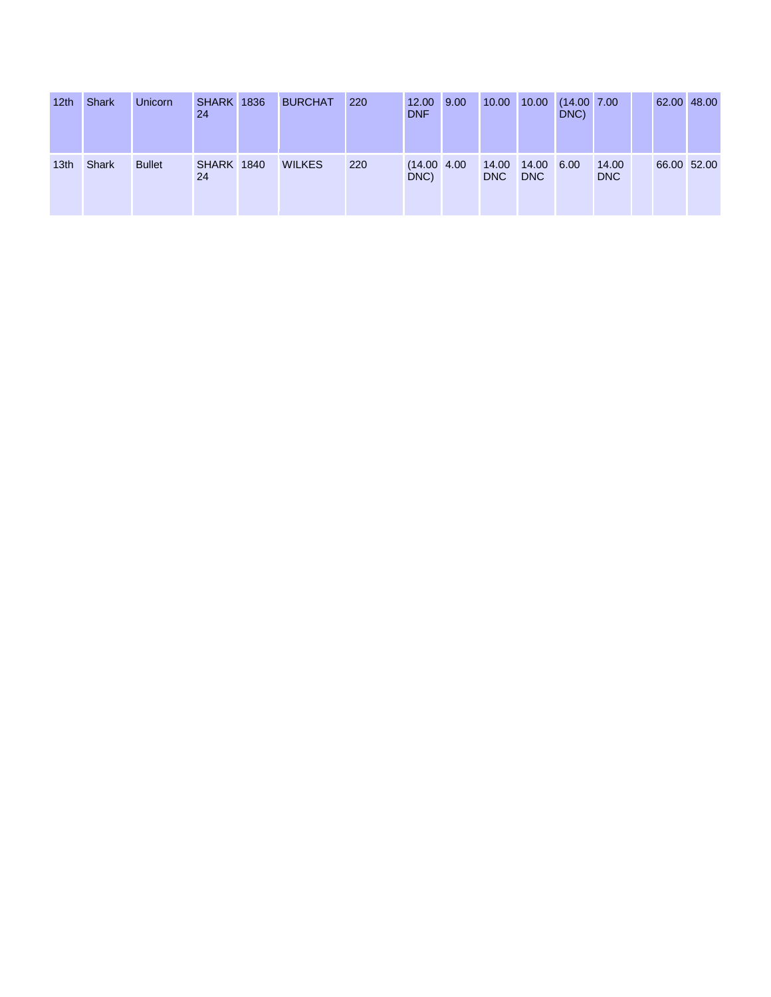| 12 <sub>th</sub> | <b>Shark</b> | Unicorn       | <b>SHARK 1836</b><br>24 | <b>BURCHAT</b> | 220 | 12.00<br><b>DNF</b>      | 9.00 | 10.00               | 10.00               | (14.00 7.00<br>DNC) |                     |  | 62.00 48.00 |
|------------------|--------------|---------------|-------------------------|----------------|-----|--------------------------|------|---------------------|---------------------|---------------------|---------------------|--|-------------|
| 13th             | Shark        | <b>Bullet</b> | <b>SHARK 1840</b><br>24 | <b>WILKES</b>  | 220 | $(14.00 \t 4.00$<br>DNC) |      | 14.00<br><b>DNC</b> | 14.00<br><b>DNC</b> | 6.00                | 14.00<br><b>DNC</b> |  | 66.00 52.00 |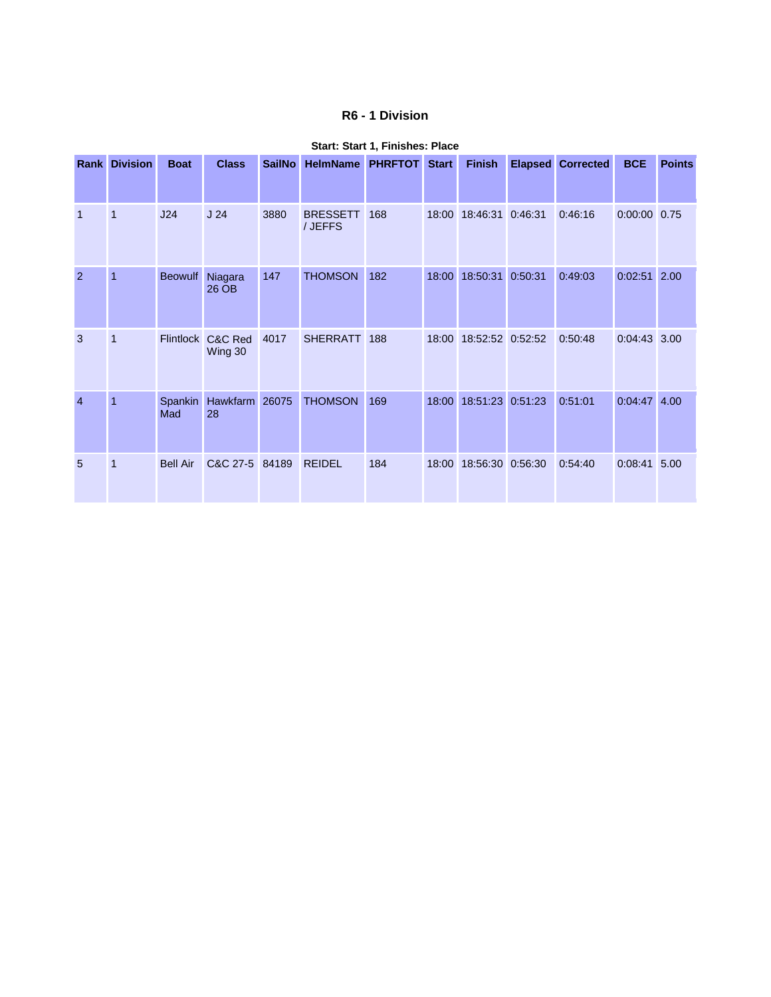## **R6 - 1 Division**

|                | <b>Rank Division</b> | <b>Boat</b>     | <b>Class</b>                 | <b>SailNo</b> | <b>HelmName</b>            | <b>PHRFTOT</b> | <b>Start</b> | <b>Finish</b>    | <b>Elapsed</b> | <b>Corrected</b> | <b>BCE</b>     | <b>Points</b> |
|----------------|----------------------|-----------------|------------------------------|---------------|----------------------------|----------------|--------------|------------------|----------------|------------------|----------------|---------------|
| $\overline{1}$ | $\overline{1}$       | J24             | J <sub>24</sub>              | 3880          | <b>BRESSETT</b><br>/ JEFFS | 168            | 18:00        | 18:46:31         | 0:46:31        | 0:46:16          | $0:00:00$ 0.75 |               |
| $\overline{2}$ | $\overline{1}$       | <b>Beowulf</b>  | Niagara<br>26 OB             | 147           | <b>THOMSON</b>             | 182            | 18:00        | 18:50:31         | 0:50:31        | 0:49:03          | $0:02:51$ 2.00 |               |
| 3              | 1                    |                 | Flintlock C&C Red<br>Wing 30 | 4017          | <b>SHERRATT</b>            | 188            | 18:00        | 18:52:52 0:52:52 |                | 0:50:48          | $0:04:43$ 3.00 |               |
| $\overline{4}$ | $\overline{1}$       | Spankin<br>Mad  | Hawkfarm<br>28               | 26075         | <b>THOMSON</b>             | 169            | 18:00        | 18:51:23 0:51:23 |                | 0:51:01          | $0:04:47$ 4.00 |               |
| 5              | 1                    | <b>Bell Air</b> | C&C 27-5 84189               |               | <b>REIDEL</b>              | 184            | 18:00        | 18:56:30 0:56:30 |                | 0:54:40          | 0:08:41 5.00   |               |

#### **Start: Start 1, Finishes: Place**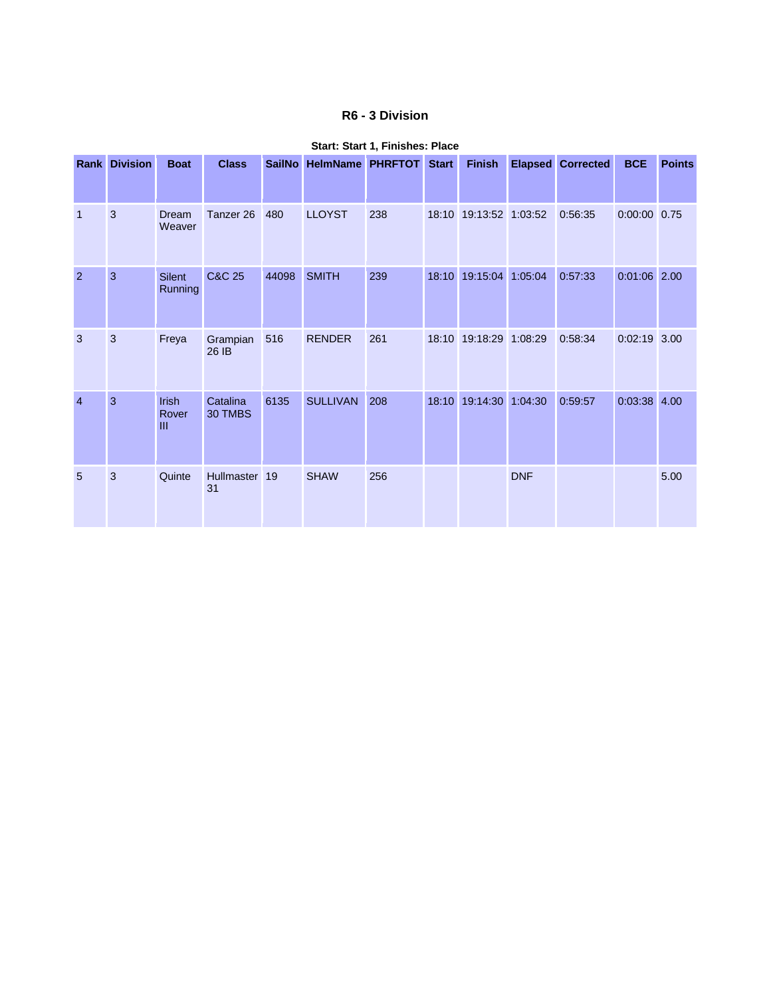## **R6 - 3 Division**

|                | <b>Rank Division</b> | <b>Boat</b>                     | <b>Class</b>        |       | SailNo HelmName PHRFTOT Start |     |       | <b>Finish</b>          |            | <b>Elapsed Corrected</b> | <b>BCE</b>     | <b>Points</b> |
|----------------|----------------------|---------------------------------|---------------------|-------|-------------------------------|-----|-------|------------------------|------------|--------------------------|----------------|---------------|
| 1              | 3                    | Dream<br>Weaver                 | Tanzer 26           | 480   | <b>LLOYST</b>                 | 238 | 18:10 | 19:13:52 1:03:52       |            | 0:56:35                  | $0:00:00$ 0.75 |               |
| $\overline{2}$ | 3                    | <b>Silent</b><br><b>Running</b> | <b>C&amp;C 25</b>   | 44098 | <b>SMITH</b>                  | 239 | 18:10 | 19:15:04               | 1:05:04    | 0:57:33                  | $0:01:06$ 2.00 |               |
| 3              | 3                    | Freya                           | Grampian<br>26 IB   | 516   | <b>RENDER</b>                 | 261 |       | 18:10 19:18:29 1:08:29 |            | 0:58:34                  | $0:02:19$ 3.00 |               |
| $\overline{4}$ | 3                    | Irish<br>Rover<br>III           | Catalina<br>30 TMBS | 6135  | <b>SULLIVAN</b>               | 208 | 18:10 | 19:14:30 1:04:30       |            | 0:59:57                  | $0:03:38$ 4.00 |               |
| 5              | 3                    | Quinte                          | Hullmaster<br>31    | 19    | <b>SHAW</b>                   | 256 |       |                        | <b>DNF</b> |                          |                | 5.00          |

#### **Start: Start 1, Finishes: Place**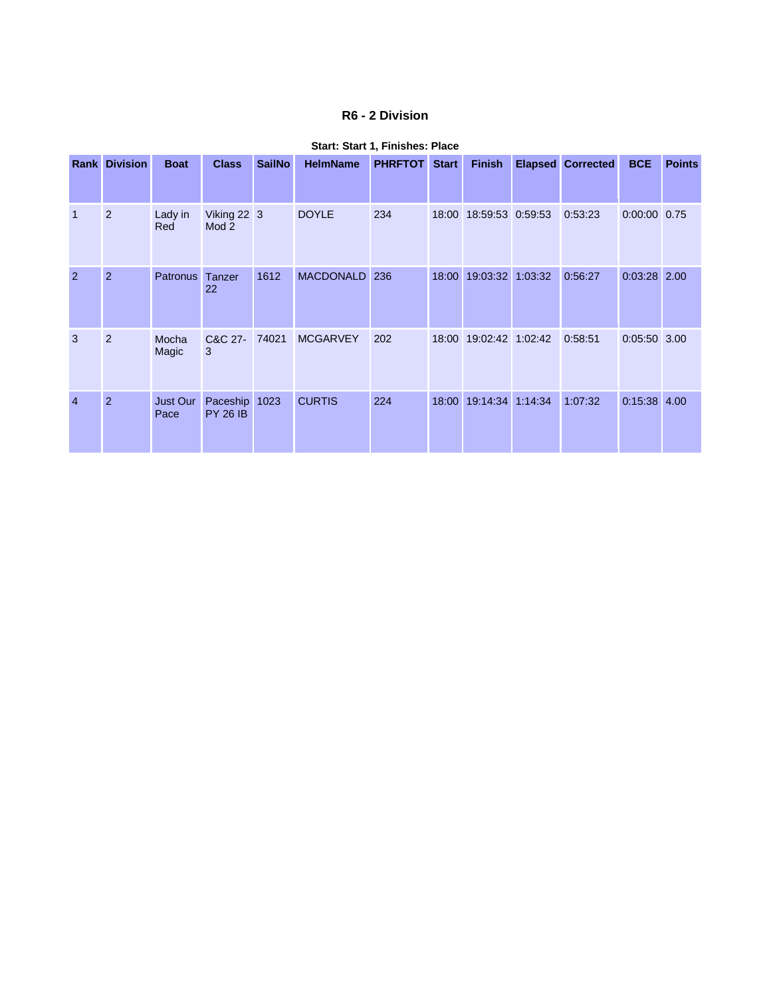## **R6 - 2 Division**

|                | <b>Rank Division</b> | <b>Boat</b>      | <b>Class</b>                    | <b>SailNo</b> | <b>HelmName</b>  | <b>PHRFTOT</b> | <b>Start</b> | <b>Finish</b>          | <b>Elapsed</b> | <b>Corrected</b> | <b>BCE</b>     | <b>Points</b> |
|----------------|----------------------|------------------|---------------------------------|---------------|------------------|----------------|--------------|------------------------|----------------|------------------|----------------|---------------|
|                | 2                    | Lady in<br>Red   | Viking 22 3<br>Mod <sub>2</sub> |               | <b>DOYLE</b>     | 234            |              | 18:00 18:59:53 0:59:53 |                | 0:53:23          | $0:00:00$ 0.75 |               |
| $\overline{2}$ | 2                    | <b>Patronus</b>  | Tanzer<br>22                    | 1612          | <b>MACDONALD</b> | 236            | 18:00        | 19:03:32 1:03:32       |                | 0:56:27          | $0:03:28$ 2.00 |               |
| 3              | 2                    | Mocha<br>Magic   | C&C 27-<br>3                    | 74021         | <b>MCGARVEY</b>  | 202            | 18:00        | 19:02:42 1:02:42       |                | 0:58:51          | $0:05:50$ 3.00 |               |
| $\overline{4}$ | 2                    | Just Our<br>Pace | Paceship<br><b>PY 26 IB</b>     | 1023          | <b>CURTIS</b>    | 224            | 18:00        | 19:14:34               | 1:14:34        | 1:07:32          | $0:15:38$ 4.00 |               |

#### **Start: Start 1, Finishes: Place**